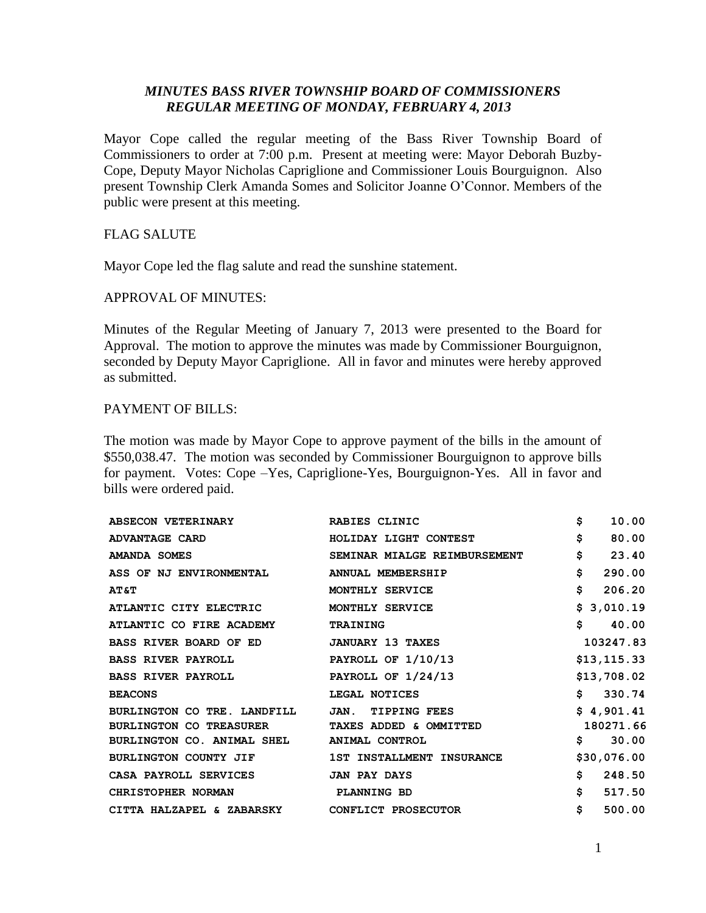# *MINUTES BASS RIVER TOWNSHIP BOARD OF COMMISSIONERS REGULAR MEETING OF MONDAY, FEBRUARY 4, 2013*

Mayor Cope called the regular meeting of the Bass River Township Board of Commissioners to order at 7:00 p.m. Present at meeting were: Mayor Deborah Buzby-Cope, Deputy Mayor Nicholas Capriglione and Commissioner Louis Bourguignon. Also present Township Clerk Amanda Somes and Solicitor Joanne O'Connor. Members of the public were present at this meeting.

# FLAG SALUTE

Mayor Cope led the flag salute and read the sunshine statement.

## APPROVAL OF MINUTES:

Minutes of the Regular Meeting of January 7, 2013 were presented to the Board for Approval. The motion to approve the minutes was made by Commissioner Bourguignon, seconded by Deputy Mayor Capriglione. All in favor and minutes were hereby approved as submitted.

# PAYMENT OF BILLS:

The motion was made by Mayor Cope to approve payment of the bills in the amount of \$550,038.47. The motion was seconded by Commissioner Bourguignon to approve bills for payment. Votes: Cope –Yes, Capriglione-Yes, Bourguignon-Yes. All in favor and bills were ordered paid.

| <b>ABSECON VETERINARY</b>                     | RABIES CLINIC                                  | \$<br>10.00  |
|-----------------------------------------------|------------------------------------------------|--------------|
| <b>ADVANTAGE CARD</b>                         | HOLIDAY LIGHT CONTEST                          | \$<br>80.00  |
| <b>AMANDA SOMES</b>                           | SEMINAR MIALGE REIMBURSEMENT                   | \$<br>23.40  |
| ASS OF NJ ENVIRONMENTAL                       | ANNUAL MEMBERSHIP                              | \$<br>290.00 |
| <b>AT&amp;T</b>                               | MONTHLY SERVICE                                | \$<br>206.20 |
| ATLANTIC CITY ELECTRIC                        | MONTHLY SERVICE                                | \$3,010.19   |
| ATLANTIC CO FIRE ACADEMY                      | <b>TRAINING</b>                                | \$<br>40.00  |
| BASS RIVER BOARD OF ED                        | <b>JANUARY 13 TAXES</b>                        | 103247.83    |
| <b>BASS RIVER PAYROLL</b>                     | PAYROLL OF $1/10/13$                           | \$13, 115.33 |
| <b>BASS RIVER PAYROLL</b>                     | PAYROLL OF $1/24/13$                           | \$13,708.02  |
| <b>BEACONS</b>                                | LEGAL NOTICES                                  | \$330.74     |
| BURLINGTON CO TRE. LANDFILL                   | JAN. TIPPING FEES                              | \$4,901.41   |
|                                               | BURLINGTON CO TREASURER TAXES ADDED & OMMITTED | 180271.66    |
| BURLINGTON CO. ANIMAL SHEL ANIMAL CONTROL     |                                                | 30.00<br>\$  |
| <b>BURLINGTON COUNTY JIF</b>                  | 1ST INSTALLMENT INSURANCE                      | \$30,076.00  |
| CASA PAYROLL SERVICES                         | <b>JAN PAY DAYS</b>                            | \$<br>248.50 |
| <b>CHRISTOPHER NORMAN</b>                     | PLANNING BD                                    | \$<br>517.50 |
| CITTA HALZAPEL & ZABARSKY CONFLICT PROSECUTOR |                                                | \$<br>500.00 |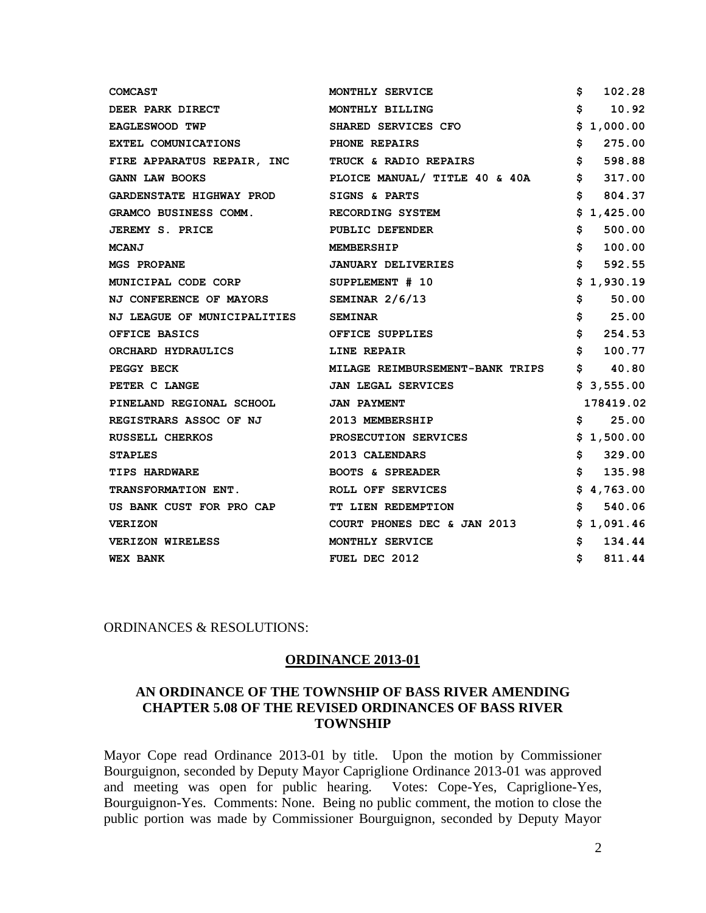| <b>COMCAST</b>                                   | MONTHLY SERVICE                 | 102.28<br>s                                     |
|--------------------------------------------------|---------------------------------|-------------------------------------------------|
| <b>DEER PARK DIRECT</b>                          | MONTHLY BILLING                 | \$<br>10.92                                     |
| EAGLESWOOD TWP                                   | SHARED SERVICES CFO             | S<br>1,000.00                                   |
| EXTEL COMUNICATIONS                              | <b>PHONE REPAIRS</b>            | \$<br>275.00                                    |
| FIRE APPARATUS REPAIR, INC TRUCK & RADIO REPAIRS |                                 | \$<br>598.88                                    |
| <b>GANN LAW BOOKS</b>                            | PLOICE MANUAL/ TITLE 40 & 40A   | \$<br>317.00                                    |
| <b>GARDENSTATE HIGHWAY PROD</b>                  | SIGNS & PARTS                   | \$<br>804.37                                    |
| <b>GRAMCO BUSINESS COMM.</b>                     | RECORDING SYSTEM                | \$1,425.00                                      |
| <b>JEREMY S. PRICE</b>                           | PUBLIC DEFENDER                 | \$<br>500.00                                    |
| <b>MCANJ</b>                                     | <b>MEMBERSHIP</b>               | \$<br>100.00                                    |
| <b>MGS PROPANE</b>                               | <b>JANUARY DELIVERIES</b>       | \$<br>592.55                                    |
| MUNICIPAL CODE CORP                              | SUPPLEMENT # 10                 | 1,930.19<br>s                                   |
| NJ CONFERENCE OF MAYORS                          | SEMINAR $2/6/13$                | \$<br>50.00                                     |
| <b>NJ LEAGUE OF MUNICIPALITIES</b>               | <b>SEMINAR</b>                  | \$<br>25.00                                     |
| OFFICE BASICS                                    | OFFICE SUPPLIES                 | \$<br>254.53                                    |
| ORCHARD HYDRAULICS                               | LINE REPAIR                     | \$<br>100.77                                    |
| PEGGY BECK                                       | MILAGE REIMBURSEMENT-BANK TRIPS | $\mathsf{s}$ . The set of $\mathsf{s}$<br>40.80 |
| PETER C LANGE                                    | <b>JAN LEGAL SERVICES</b>       | \$3,555.00                                      |
| PINELAND REGIONAL SCHOOL                         | <b>JAN PAYMENT</b>              | 178419.02                                       |
| REGISTRARS ASSOC OF NJ                           | 2013 MEMBERSHIP                 | S<br>25.00                                      |
| RUSSELL CHERKOS                                  | PROSECUTION SERVICES            | \$1,500.00                                      |
| <b>STAPLES</b>                                   | 2013 CALENDARS                  | \$<br>329.00                                    |
| <b>TIPS HARDWARE</b>                             | <b>BOOTS &amp; SPREADER</b>     | \$<br>135.98                                    |
| <b>TRANSFORMATION ENT.</b>                       | ROLL OFF SERVICES               | \$4,763.00                                      |
| US BANK CUST FOR PRO CAP                         | TT LIEN REDEMPTION              | Ŝ.<br>540.06                                    |
| <b>VERIZON</b>                                   | COURT PHONES DEC & JAN 2013     | \$1,091.46                                      |
| <b>VERIZON WIRELESS</b>                          | MONTHLY SERVICE                 | \$<br>134.44                                    |
| <b>WEX BANK</b>                                  | FUEL DEC 2012                   | \$<br>811.44                                    |

ORDINANCES & RESOLUTIONS:

#### **ORDINANCE 2013-01**

# **AN ORDINANCE OF THE TOWNSHIP OF BASS RIVER AMENDING CHAPTER 5.08 OF THE REVISED ORDINANCES OF BASS RIVER TOWNSHIP**

Mayor Cope read Ordinance 2013-01 by title. Upon the motion by Commissioner Bourguignon, seconded by Deputy Mayor Capriglione Ordinance 2013-01 was approved and meeting was open for public hearing. Votes: Cope-Yes, Capriglione-Yes, Bourguignon-Yes. Comments: None. Being no public comment, the motion to close the public portion was made by Commissioner Bourguignon, seconded by Deputy Mayor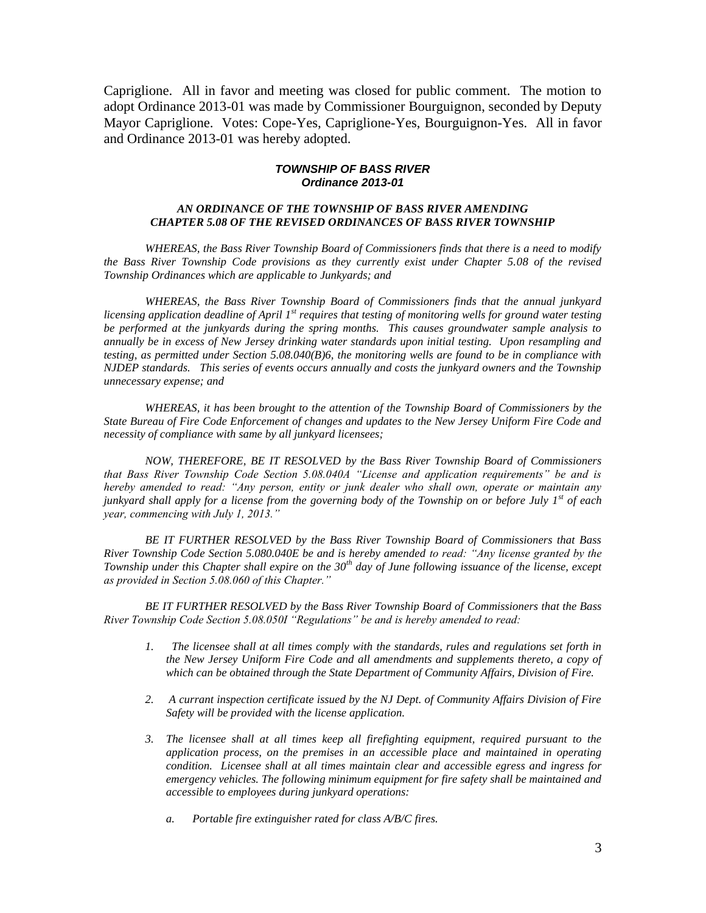Capriglione. All in favor and meeting was closed for public comment. The motion to adopt Ordinance 2013-01 was made by Commissioner Bourguignon, seconded by Deputy Mayor Capriglione. Votes: Cope-Yes, Capriglione-Yes, Bourguignon-Yes. All in favor and Ordinance 2013-01 was hereby adopted.

#### *TOWNSHIP OF BASS RIVER Ordinance 2013-01*

### *AN ORDINANCE OF THE TOWNSHIP OF BASS RIVER AMENDING CHAPTER 5.08 OF THE REVISED ORDINANCES OF BASS RIVER TOWNSHIP*

*WHEREAS, the Bass River Township Board of Commissioners finds that there is a need to modify the Bass River Township Code provisions as they currently exist under Chapter 5.08 of the revised Township Ordinances which are applicable to Junkyards; and*

*WHEREAS, the Bass River Township Board of Commissioners finds that the annual junkyard licensing application deadline of April 1st requires that testing of monitoring wells for ground water testing be performed at the junkyards during the spring months. This causes groundwater sample analysis to annually be in excess of New Jersey drinking water standards upon initial testing. Upon resampling and testing, as permitted under Section 5.08.040(B)6, the monitoring wells are found to be in compliance with NJDEP standards. This series of events occurs annually and costs the junkyard owners and the Township unnecessary expense; and*

*WHEREAS, it has been brought to the attention of the Township Board of Commissioners by the State Bureau of Fire Code Enforcement of changes and updates to the New Jersey Uniform Fire Code and necessity of compliance with same by all junkyard licensees;*

*NOW, THEREFORE, BE IT RESOLVED by the Bass River Township Board of Commissioners that Bass River Township Code Section 5.08.040A "License and application requirements" be and is hereby amended to read: "Any person, entity or junk dealer who shall own, operate or maintain any junkyard shall apply for a license from the governing body of the Township on or before July 1st of each year, commencing with July 1, 2013."*

*BE IT FURTHER RESOLVED by the Bass River Township Board of Commissioners that Bass River Township Code Section 5.080.040E be and is hereby amended to read: "Any license granted by the Township under this Chapter shall expire on the 30th day of June following issuance of the license, except as provided in Section 5.08.060 of this Chapter."* 

*BE IT FURTHER RESOLVED by the Bass River Township Board of Commissioners that the Bass River Township Code Section 5.08.050I "Regulations" be and is hereby amended to read:* 

- *1. The licensee shall at all times comply with the standards, rules and regulations set forth in the New Jersey Uniform Fire Code and all amendments and supplements thereto, a copy of which can be obtained through the State Department of Community Affairs, Division of Fire.*
- *2. A currant inspection certificate issued by the NJ Dept. of Community Affairs Division of Fire Safety will be provided with the license application.*
- *3. The licensee shall at all times keep all firefighting equipment, required pursuant to the application process, on the premises in an accessible place and maintained in operating condition. Licensee shall at all times maintain clear and accessible egress and ingress for emergency vehicles. The following minimum equipment for fire safety shall be maintained and accessible to employees during junkyard operations:*
	- *a. Portable fire extinguisher rated for class A/B/C fires.*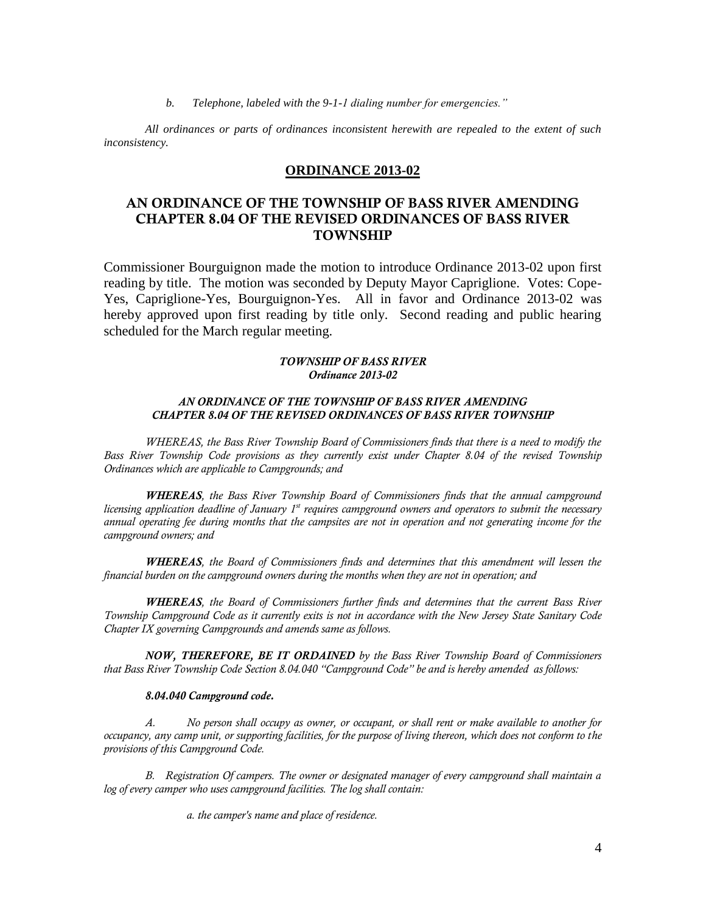*b. Telephone, labeled with the 9-1-1 dialing number for emergencies."*

*All ordinances or parts of ordinances inconsistent herewith are repealed to the extent of such inconsistency.*

### **ORDINANCE 2013-02**

# **AN ORDINANCE OF THE TOWNSHIP OF BASS RIVER AMENDING CHAPTER 8.04 OF THE REVISED ORDINANCES OF BASS RIVER TOWNSHIP**

Commissioner Bourguignon made the motion to introduce Ordinance 2013-02 upon first reading by title. The motion was seconded by Deputy Mayor Capriglione. Votes: Cope-Yes, Capriglione-Yes, Bourguignon-Yes. All in favor and Ordinance 2013-02 was hereby approved upon first reading by title only. Second reading and public hearing scheduled for the March regular meeting.

### *TOWNSHIP OF BASS RIVER Ordinance 2013-02*

### *AN ORDINANCE OF THE TOWNSHIP OF BASS RIVER AMENDING CHAPTER 8.04 OF THE REVISED ORDINANCES OF BASS RIVER TOWNSHIP*

*WHEREAS, the Bass River Township Board of Commissioners finds that there is a need to modify the Bass River Township Code provisions as they currently exist under Chapter 8.04 of the revised Township Ordinances which are applicable to Campgrounds; and*

*WHEREAS, the Bass River Township Board of Commissioners finds that the annual campground licensing application deadline of January 1st requires campground owners and operators to submit the necessary annual operating fee during months that the campsites are not in operation and not generating income for the campground owners; and*

*WHEREAS, the Board of Commissioners finds and determines that this amendment will lessen the financial burden on the campground owners during the months when they are not in operation; and* 

*WHEREAS, the Board of Commissioners further finds and determines that the current Bass River Township Campground Code as it currently exits is not in accordance with the New Jersey State Sanitary Code Chapter IX governing Campgrounds and amends same as follows.*

*NOW, THEREFORE, BE IT ORDAINED by the Bass River Township Board of Commissioners that Bass River Township Code Section 8.04.040 "Campground Code" be and is hereby amended as follows:* 

#### *8.04.040 Campground code.*

*A. No person shall occupy as owner, or occupant, or shall rent or make available to another for occupancy, any camp unit, or supporting facilities, for the purpose of living thereon, which does not conform to the provisions of this Campground Code.* 

*B. Registration Of campers. The owner or designated manager of every campground shall maintain a log of every camper who uses campground facilities. The log shall contain:*

*a. the camper's name and place of residence.*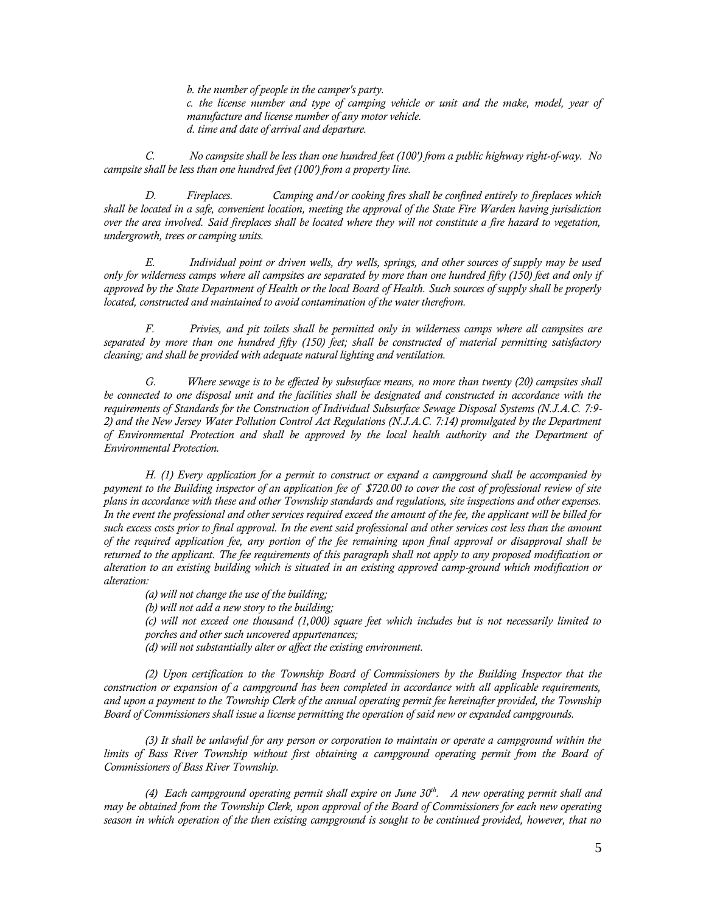*b. the number of people in the camper's party. c. the license number and type of camping vehicle or unit and the make, model, year of manufacture and license number of any motor vehicle. d. time and date of arrival and departure.*

*C. No campsite shall be less than one hundred feet (100') from a public highway right-of-way. No campsite shall be less than one hundred feet (100') from a property line.*

*D. Fireplaces. Camping and/or cooking fires shall be confined entirely to fireplaces which shall be located in a safe, convenient location, meeting the approval of the State Fire Warden having jurisdiction over the area involved. Said fireplaces shall be located where they will not constitute a fire hazard to vegetation, undergrowth, trees or camping units.*

*E. Individual point or driven wells, dry wells, springs, and other sources of supply may be used only for wilderness camps where all campsites are separated by more than one hundred fifty (150) feet and only if approved by the State Department of Health or the local Board of Health. Such sources of supply shall be properly located, constructed and maintained to avoid contamination of the water therefrom.*

*F. Privies, and pit toilets shall be permitted only in wilderness camps where all campsites are separated by more than one hundred fifty (150) feet; shall be constructed of material permitting satisfactory cleaning; and shall be provided with adequate natural lighting and ventilation.*

*G. Where sewage is to be effected by subsurface means, no more than twenty (20) campsites shall be connected to one disposal unit and the facilities shall be designated and constructed in accordance with the requirements of Standards for the Construction of Individual Subsurface Sewage Disposal Systems (N.J.A.C. 7:9- 2) and the New Jersey Water Pollution Control Act Regulations (N.J.A.C. 7:14) promulgated by the Department of Environmental Protection and shall be approved by the local health authority and the Department of Environmental Protection.*

*H. (1) Every application for a permit to construct or expand a campground shall be accompanied by payment to the Building inspector of an application fee of \$720.00 to cover the cost of professional review of site plans in accordance with these and other Township standards and regulations, site inspections and other expenses. In the event the professional and other services required exceed the amount of the fee, the applicant will be billed for such excess costs prior to final approval. In the event said professional and other services cost less than the amount of the required application fee, any portion of the fee remaining upon final approval or disapproval shall be returned to the applicant. The fee requirements of this paragraph shall not apply to any proposed modification or alteration to an existing building which is situated in an existing approved camp-ground which modification or alteration:*

*(a) will not change the use of the building;*

*(b) will not add a new story to the building;*

- *(c) will not exceed one thousand (1,000) square feet which includes but is not necessarily limited to porches and other such uncovered appurtenances;*
- *(d) will not substantially alter or affect the existing environment.*

*(2) Upon certification to the Township Board of Commissioners by the Building Inspector that the construction or expansion of a campground has been completed in accordance with all applicable requirements, and upon a payment to the Township Clerk of the annual operating permit fee hereinafter provided, the Township Board of Commissioners shall issue a license permitting the operation of said new or expanded campgrounds.*

*(3) It shall be unlawful for any person or corporation to maintain or operate a campground within the*  limits of Bass River Township without first obtaining a campground operating permit from the Board of *Commissioners of Bass River Township.*

*(4) Each campground operating permit shall expire on June 30th. A new operating permit shall and may be obtained from the Township Clerk, upon approval of the Board of Commissioners for each new operating season in which operation of the then existing campground is sought to be continued provided, however, that no*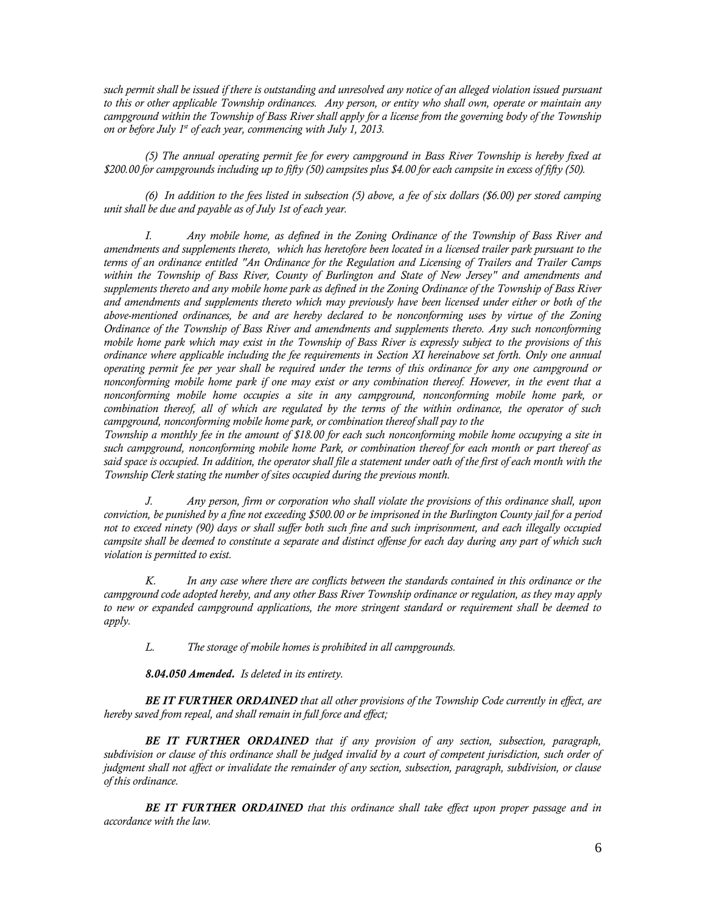such permit shall be issued if there is outstanding and unresolved any notice of an alleged violation issued pursuant *to this or other applicable Township ordinances. Any person, or entity who shall own, operate or maintain any campground within the Township of Bass River shall apply for a license from the governing body of the Township on or before July 1st of each year, commencing with July 1, 2013.*

*(5) The annual operating permit fee for every campground in Bass River Township is hereby fixed at \$200.00 for campgrounds including up to fifty (50) campsites plus \$4.00 for each campsite in excess of fifty (50).* 

*(6) In addition to the fees listed in subsection (5) above, a fee of six dollars (\$6.00) per stored camping unit shall be due and payable as of July 1st of each year.* 

*I. Any mobile home, as defined in the Zoning Ordinance of the Township of Bass River and amendments and supplements thereto, which has heretofore been located in a licensed trailer park pursuant to the terms of an ordinance entitled "An Ordinance for the Regulation and Licensing of Trailers and Trailer Camps within the Township of Bass River, County of Burlington and State of New Jersey" and amendments and supplements thereto and any mobile home park as defined in the Zoning Ordinance of the Township of Bass River and amendments and supplements thereto which may previously have been licensed under either or both of the above-mentioned ordinances, be and are hereby declared to be nonconforming uses by virtue of the Zoning Ordinance of the Township of Bass River and amendments and supplements thereto. Any such nonconforming mobile home park which may exist in the Township of Bass River is expressly subject to the provisions of this ordinance where applicable including the fee requirements in Section XI hereinabove set forth. Only one annual operating permit fee per year shall be required under the terms of this ordinance for any one campground or nonconforming mobile home park if one may exist or any combination thereof. However, in the event that a nonconforming mobile home occupies a site in any campground, nonconforming mobile home park, or combination thereof, all of which are regulated by the terms of the within ordinance, the operator of such campground, nonconforming mobile home park, or combination thereof shall pay to the*

*Township a monthly fee in the amount of \$18.00 for each such nonconforming mobile home occupying a site in such campground, nonconforming mobile home Park, or combination thereof for each month or part thereof as said space is occupied. In addition, the operator shall file a statement under oath of the first of each month with the Township Clerk stating the number of sites occupied during the previous month.*

*J. Any person, firm or corporation who shall violate the provisions of this ordinance shall, upon conviction, be punished by a fine not exceeding \$500.00 or be imprisoned in the Burlington County jail for a period not to exceed ninety (90) days or shall suffer both such fine and such imprisonment, and each illegally occupied campsite shall be deemed to constitute a separate and distinct offense for each day during any part of which such violation is permitted to exist.*

*K. In any case where there are conflicts between the standards contained in this ordinance or the campground code adopted hereby, and any other Bass River Township ordinance or regulation, as they may apply to new or expanded campground applications, the more stringent standard or requirement shall be deemed to apply.*

*L. The storage of mobile homes is prohibited in all campgrounds.*

*8.04.050 Amended. Is deleted in its entirety.* 

*BE IT FURTHER ORDAINED that all other provisions of the Township Code currently in effect, are hereby saved from repeal, and shall remain in full force and effect;* 

*BE IT FURTHER ORDAINED that if any provision of any section, subsection, paragraph, subdivision or clause of this ordinance shall be judged invalid by a court of competent jurisdiction, such order of judgment shall not affect or invalidate the remainder of any section, subsection, paragraph, subdivision, or clause of this ordinance.*

*BE IT FURTHER ORDAINED that this ordinance shall take effect upon proper passage and in accordance with the law.*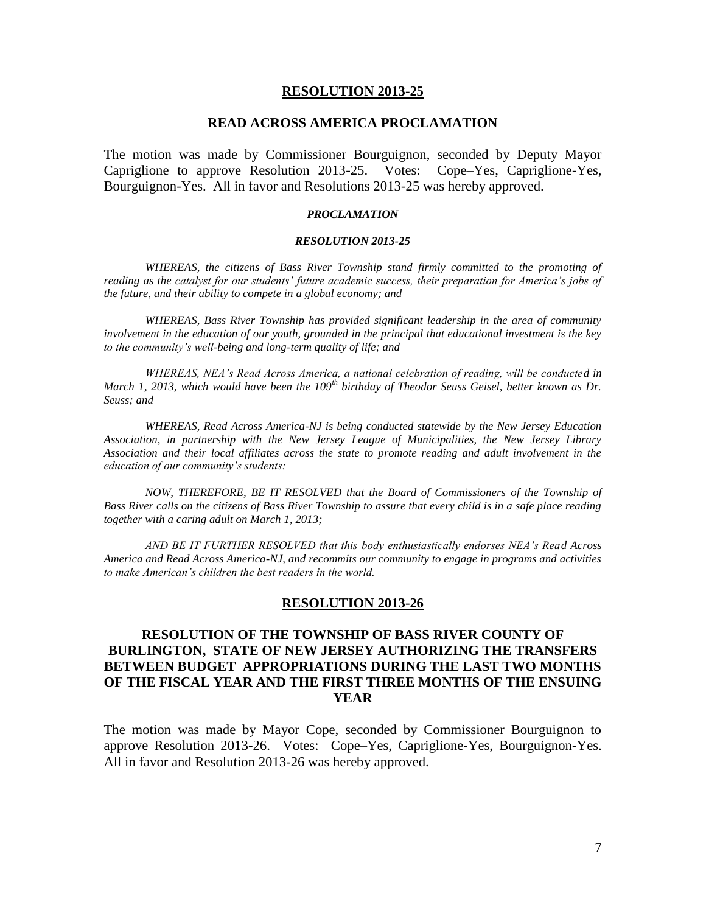#### **RESOLUTION 2013-25**

### **READ ACROSS AMERICA PROCLAMATION**

The motion was made by Commissioner Bourguignon, seconded by Deputy Mayor Capriglione to approve Resolution 2013-25. Votes: Cope–Yes, Capriglione-Yes, Bourguignon-Yes. All in favor and Resolutions 2013-25 was hereby approved.

#### *PROCLAMATION*

#### *RESOLUTION 2013-25*

*WHEREAS, the citizens of Bass River Township stand firmly committed to the promoting of reading as the catalyst for our students' future academic success, their preparation for America's jobs of the future, and their ability to compete in a global economy; and*

*WHEREAS, Bass River Township has provided significant leadership in the area of community involvement in the education of our youth, grounded in the principal that educational investment is the key to the community's well-being and long-term quality of life; and*

*WHEREAS, NEA's Read Across America, a national celebration of reading, will be conducted in March 1, 2013, which would have been the 109th birthday of Theodor Seuss Geisel, better known as Dr. Seuss; and*

*WHEREAS, Read Across America-NJ is being conducted statewide by the New Jersey Education Association, in partnership with the New Jersey League of Municipalities, the New Jersey Library Association and their local affiliates across the state to promote reading and adult involvement in the education of our community's students:*

*NOW, THEREFORE, BE IT RESOLVED that the Board of Commissioners of the Township of Bass River calls on the citizens of Bass River Township to assure that every child is in a safe place reading together with a caring adult on March 1, 2013;*

*AND BE IT FURTHER RESOLVED that this body enthusiastically endorses NEA's Read Across America and Read Across America-NJ, and recommits our community to engage in programs and activities to make American's children the best readers in the world.*

#### **RESOLUTION 2013-26**

# **RESOLUTION OF THE TOWNSHIP OF BASS RIVER COUNTY OF BURLINGTON, STATE OF NEW JERSEY AUTHORIZING THE TRANSFERS BETWEEN BUDGET APPROPRIATIONS DURING THE LAST TWO MONTHS OF THE FISCAL YEAR AND THE FIRST THREE MONTHS OF THE ENSUING YEAR**

The motion was made by Mayor Cope, seconded by Commissioner Bourguignon to approve Resolution 2013-26. Votes: Cope–Yes, Capriglione-Yes, Bourguignon-Yes. All in favor and Resolution 2013-26 was hereby approved.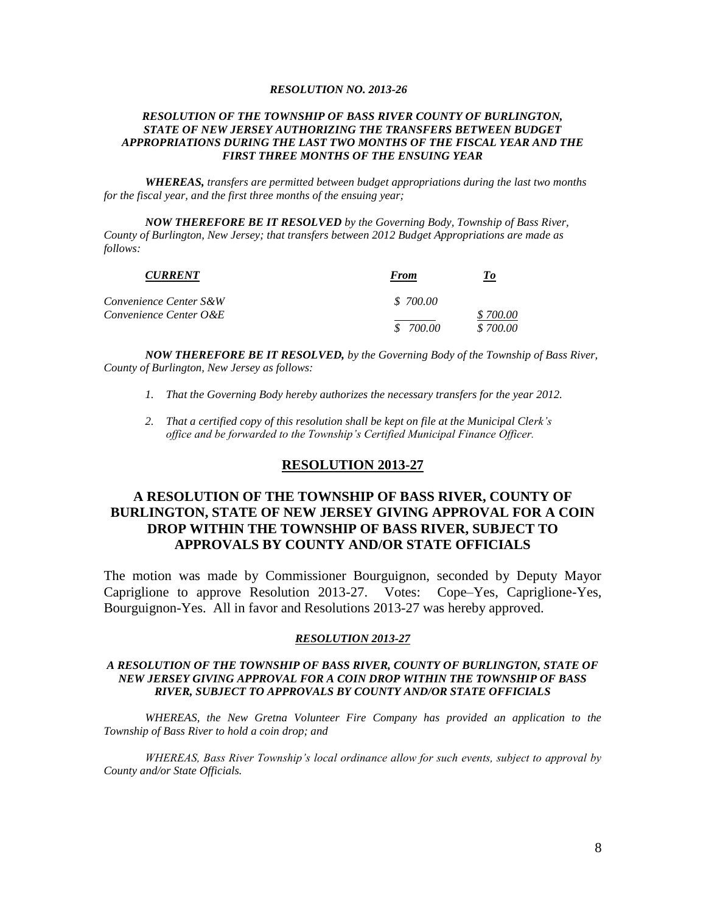#### *RESOLUTION NO. 2013-26*

#### *RESOLUTION OF THE TOWNSHIP OF BASS RIVER COUNTY OF BURLINGTON, STATE OF NEW JERSEY AUTHORIZING THE TRANSFERS BETWEEN BUDGET APPROPRIATIONS DURING THE LAST TWO MONTHS OF THE FISCAL YEAR AND THE FIRST THREE MONTHS OF THE ENSUING YEAR*

*WHEREAS, transfers are permitted between budget appropriations during the last two months for the fiscal year, and the first three months of the ensuing year;*

*NOW THEREFORE BE IT RESOLVED by the Governing Body, Township of Bass River, County of Burlington, New Jersey; that transfers between 2012 Budget Appropriations are made as follows:*

| <b>CURRENT</b>         | From      | Tо       |  |
|------------------------|-----------|----------|--|
| Convenience Center S&W | \$700.00  |          |  |
| Convenience Center O&E |           | \$700.00 |  |
|                        | \$ 700.00 | \$700.00 |  |

*NOW THEREFORE BE IT RESOLVED, by the Governing Body of the Township of Bass River, County of Burlington, New Jersey as follows:*

- *1. That the Governing Body hereby authorizes the necessary transfers for the year 2012.*
- *2. That a certified copy of this resolution shall be kept on file at the Municipal Clerk's office and be forwarded to the Township's Certified Municipal Finance Officer.*

### **RESOLUTION 2013-27**

# **A RESOLUTION OF THE TOWNSHIP OF BASS RIVER, COUNTY OF BURLINGTON, STATE OF NEW JERSEY GIVING APPROVAL FOR A COIN DROP WITHIN THE TOWNSHIP OF BASS RIVER, SUBJECT TO APPROVALS BY COUNTY AND/OR STATE OFFICIALS**

The motion was made by Commissioner Bourguignon, seconded by Deputy Mayor Capriglione to approve Resolution 2013-27. Votes: Cope–Yes, Capriglione-Yes, Bourguignon-Yes. All in favor and Resolutions 2013-27 was hereby approved.

#### *RESOLUTION 2013-27*

#### *A RESOLUTION OF THE TOWNSHIP OF BASS RIVER, COUNTY OF BURLINGTON, STATE OF NEW JERSEY GIVING APPROVAL FOR A COIN DROP WITHIN THE TOWNSHIP OF BASS RIVER, SUBJECT TO APPROVALS BY COUNTY AND/OR STATE OFFICIALS*

*WHEREAS, the New Gretna Volunteer Fire Company has provided an application to the Township of Bass River to hold a coin drop; and*

*WHEREAS, Bass River Township's local ordinance allow for such events, subject to approval by County and/or State Officials.*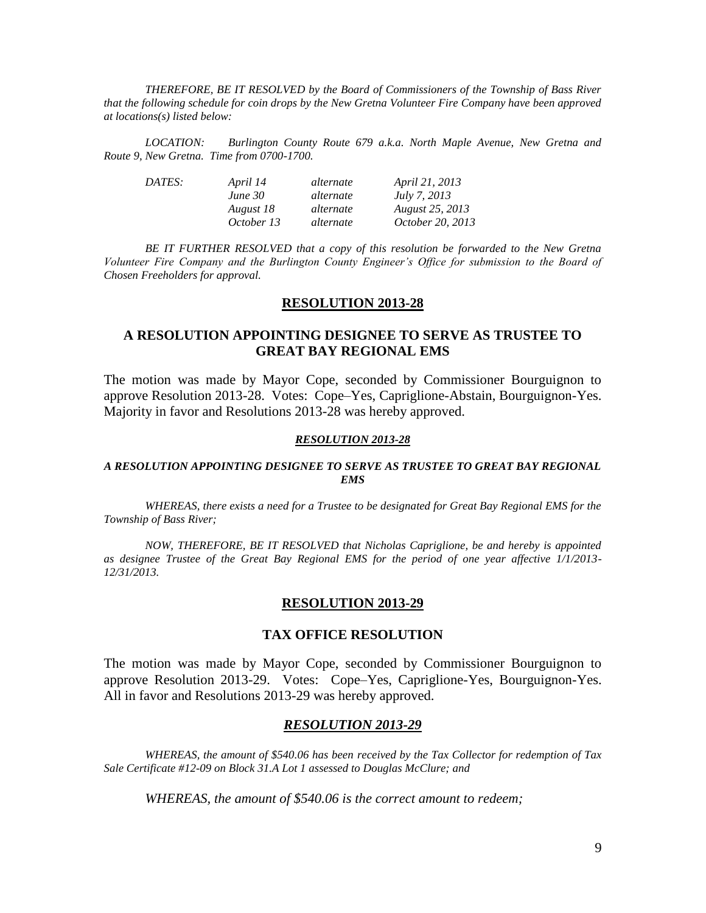*THEREFORE, BE IT RESOLVED by the Board of Commissioners of the Township of Bass River that the following schedule for coin drops by the New Gretna Volunteer Fire Company have been approved at locations(s) listed below:*

*LOCATION: Burlington County Route 679 a.k.a. North Maple Avenue, New Gretna and Route 9, New Gretna. Time from 0700-1700.*

| DATES: | April 14   | alternate | April 21, 2013         |
|--------|------------|-----------|------------------------|
|        | June 30    | alternate | <i>July 7, 2013</i>    |
|        | August 18  | alternate | <b>August 25, 2013</b> |
|        | October 13 | alternate | October 20, 2013       |

*BE IT FURTHER RESOLVED that a copy of this resolution be forwarded to the New Gretna Volunteer Fire Company and the Burlington County Engineer's Office for submission to the Board of Chosen Freeholders for approval.*

#### **RESOLUTION 2013-28**

### **A RESOLUTION APPOINTING DESIGNEE TO SERVE AS TRUSTEE TO GREAT BAY REGIONAL EMS**

The motion was made by Mayor Cope, seconded by Commissioner Bourguignon to approve Resolution 2013-28. Votes: Cope–Yes, Capriglione-Abstain, Bourguignon-Yes. Majority in favor and Resolutions 2013-28 was hereby approved.

#### *RESOLUTION 2013-28*

#### *A RESOLUTION APPOINTING DESIGNEE TO SERVE AS TRUSTEE TO GREAT BAY REGIONAL EMS*

*WHEREAS, there exists a need for a Trustee to be designated for Great Bay Regional EMS for the Township of Bass River;*

*NOW, THEREFORE, BE IT RESOLVED that Nicholas Capriglione, be and hereby is appointed as designee Trustee of the Great Bay Regional EMS for the period of one year affective 1/1/2013- 12/31/2013.*

#### **RESOLUTION 2013-29**

### **TAX OFFICE RESOLUTION**

The motion was made by Mayor Cope, seconded by Commissioner Bourguignon to approve Resolution 2013-29. Votes: Cope–Yes, Capriglione-Yes, Bourguignon-Yes. All in favor and Resolutions 2013-29 was hereby approved.

#### *RESOLUTION 2013-29*

*WHEREAS, the amount of \$540.06 has been received by the Tax Collector for redemption of Tax Sale Certificate #12-09 on Block 31.A Lot 1 assessed to Douglas McClure; and*

*WHEREAS, the amount of \$540.06 is the correct amount to redeem;*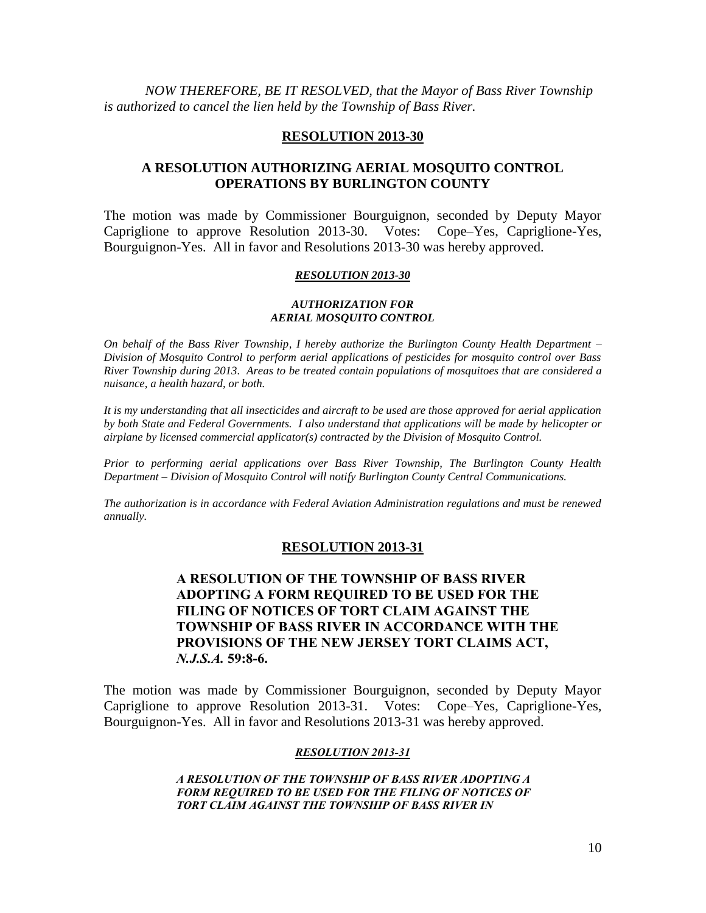*NOW THEREFORE, BE IT RESOLVED, that the Mayor of Bass River Township is authorized to cancel the lien held by the Township of Bass River.*

### **RESOLUTION 2013-30**

# **A RESOLUTION AUTHORIZING AERIAL MOSQUITO CONTROL OPERATIONS BY BURLINGTON COUNTY**

The motion was made by Commissioner Bourguignon, seconded by Deputy Mayor Capriglione to approve Resolution 2013-30. Votes: Cope–Yes, Capriglione-Yes, Bourguignon-Yes. All in favor and Resolutions 2013-30 was hereby approved.

#### *RESOLUTION 2013-30*

#### *AUTHORIZATION FOR AERIAL MOSQUITO CONTROL*

*On behalf of the Bass River Township, I hereby authorize the Burlington County Health Department – Division of Mosquito Control to perform aerial applications of pesticides for mosquito control over Bass River Township during 2013. Areas to be treated contain populations of mosquitoes that are considered a nuisance, a health hazard, or both.*

*It is my understanding that all insecticides and aircraft to be used are those approved for aerial application by both State and Federal Governments. I also understand that applications will be made by helicopter or airplane by licensed commercial applicator(s) contracted by the Division of Mosquito Control.*

*Prior to performing aerial applications over Bass River Township, The Burlington County Health Department – Division of Mosquito Control will notify Burlington County Central Communications.*

*The authorization is in accordance with Federal Aviation Administration regulations and must be renewed annually.*

### **RESOLUTION 2013-31**

# **A RESOLUTION OF THE TOWNSHIP OF BASS RIVER ADOPTING A FORM REQUIRED TO BE USED FOR THE FILING OF NOTICES OF TORT CLAIM AGAINST THE TOWNSHIP OF BASS RIVER IN ACCORDANCE WITH THE PROVISIONS OF THE NEW JERSEY TORT CLAIMS ACT,**  *N.J.S.A.* **59:8-6.**

The motion was made by Commissioner Bourguignon, seconded by Deputy Mayor Capriglione to approve Resolution 2013-31. Votes: Cope–Yes, Capriglione-Yes, Bourguignon-Yes. All in favor and Resolutions 2013-31 was hereby approved.

#### *RESOLUTION 2013-31*

*A RESOLUTION OF THE TOWNSHIP OF BASS RIVER ADOPTING A FORM REQUIRED TO BE USED FOR THE FILING OF NOTICES OF*  **TORT CLAIM AGAINST THE TOWNSHIP OF BASS RIVER IN**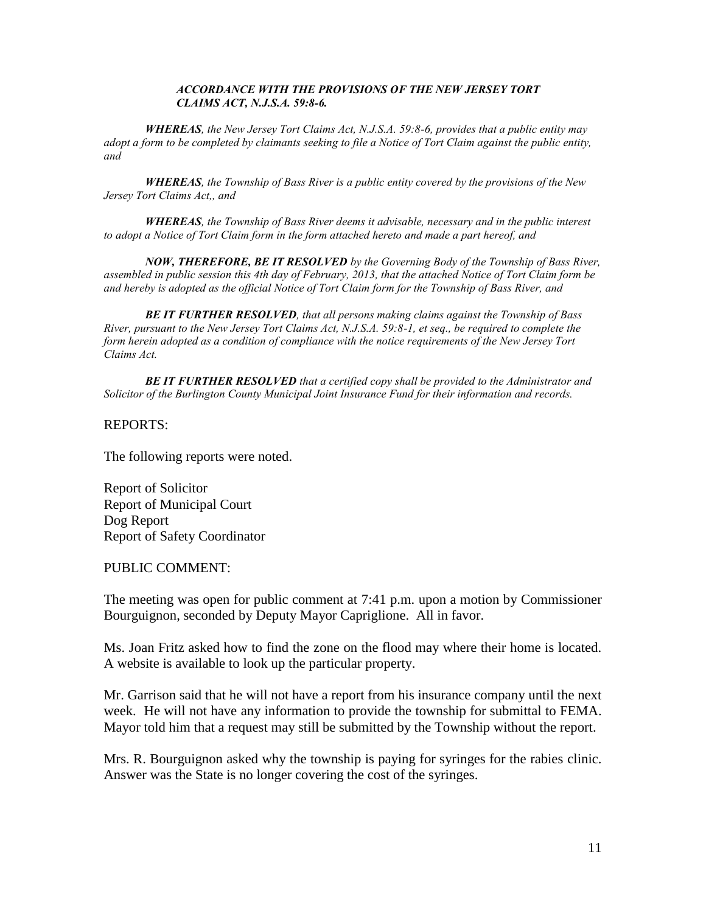#### *ACCORDANCE WITH THE PROVISIONS OF THE NEW JERSEY TORT CLAIMS ACT, N.J.S.A. 59:8-6.*

*WHEREAS, the New Jersey Tort Claims Act, N.J.S.A. 59:8-6, provides that a public entity may adopt a form to be completed by claimants seeking to file a Notice of Tort Claim against the public entity, and*

*WHEREAS, the Township of Bass River is a public entity covered by the provisions of the New Jersey Tort Claims Act,, and*

*WHEREAS, the Township of Bass River deems it advisable, necessary and in the public interest to adopt a Notice of Tort Claim form in the form attached hereto and made a part hereof, and*

*NOW, THEREFORE, BE IT RESOLVED by the Governing Body of the Township of Bass River, assembled in public session this 4th day of February, 2013, that the attached Notice of Tort Claim form be and hereby is adopted as the official Notice of Tort Claim form for the Township of Bass River, and*

*BE IT FURTHER RESOLVED, that all persons making claims against the Township of Bass River, pursuant to the New Jersey Tort Claims Act, N.J.S.A. 59:8-1, et seq., be required to complete the form herein adopted as a condition of compliance with the notice requirements of the New Jersey Tort Claims Act.*

*BE IT FURTHER RESOLVED that a certified copy shall be provided to the Administrator and Solicitor of the Burlington County Municipal Joint Insurance Fund for their information and records.*

### REPORTS:

The following reports were noted.

Report of Solicitor Report of Municipal Court Dog Report Report of Safety Coordinator

PUBLIC COMMENT:

The meeting was open for public comment at 7:41 p.m. upon a motion by Commissioner Bourguignon, seconded by Deputy Mayor Capriglione. All in favor.

Ms. Joan Fritz asked how to find the zone on the flood may where their home is located. A website is available to look up the particular property.

Mr. Garrison said that he will not have a report from his insurance company until the next week. He will not have any information to provide the township for submittal to FEMA. Mayor told him that a request may still be submitted by the Township without the report.

Mrs. R. Bourguignon asked why the township is paying for syringes for the rabies clinic. Answer was the State is no longer covering the cost of the syringes.